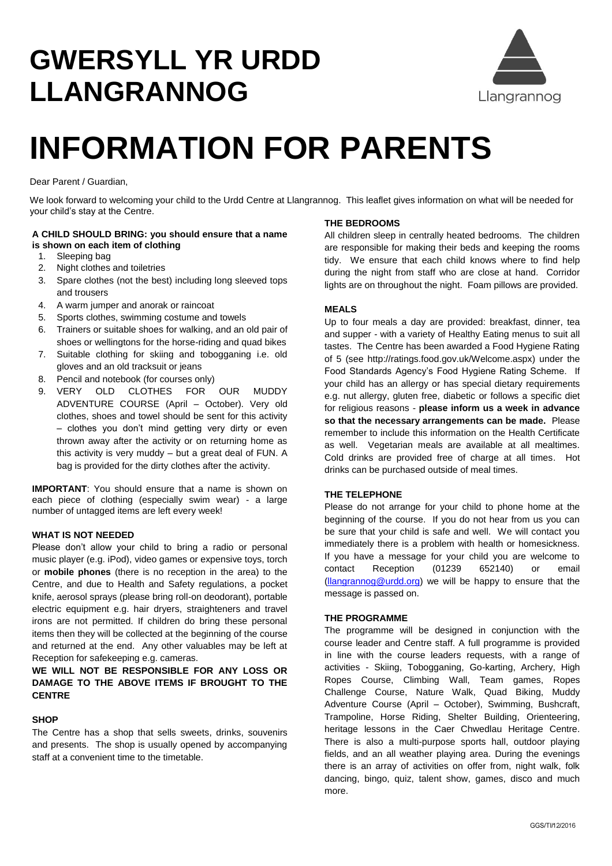# **GWERSYLL YR URDD LLANGRANNOG**



# **INFORMATION FOR PARENTS**

Dear Parent / Guardian,

We look forward to welcoming your child to the Urdd Centre at Llangrannog. This leaflet gives information on what will be needed for your child's stay at the Centre.

# **A CHILD SHOULD BRING: you should ensure that a name is shown on each item of clothing**

- 1. Sleeping bag
- 2. Night clothes and toiletries
- 3. Spare clothes (not the best) including long sleeved tops and trousers
- 4. A warm jumper and anorak or raincoat
- 5. Sports clothes, swimming costume and towels
- 6. Trainers or suitable shoes for walking, and an old pair of shoes or wellingtons for the horse-riding and quad bikes
- 7. Suitable clothing for skiing and tobogganing i.e. old gloves and an old tracksuit or jeans
- 8. Pencil and notebook (for courses only)
- 9. VERY OLD CLOTHES FOR OUR MUDDY ADVENTURE COURSE (April – October). Very old clothes, shoes and towel should be sent for this activity – clothes you don't mind getting very dirty or even thrown away after the activity or on returning home as this activity is very muddy – but a great deal of FUN. A bag is provided for the dirty clothes after the activity.

**IMPORTANT**: You should ensure that a name is shown on each piece of clothing (especially swim wear) - a large number of untagged items are left every week!

# **WHAT IS NOT NEEDED**

Please don't allow your child to bring a radio or personal music player (e.g. iPod), video games or expensive toys, torch or **mobile phones** (there is no reception in the area) to the Centre, and due to Health and Safety regulations, a pocket knife, aerosol sprays (please bring roll-on deodorant), portable electric equipment e.g. hair dryers, straighteners and travel irons are not permitted. If children do bring these personal items then they will be collected at the beginning of the course and returned at the end. Any other valuables may be left at Reception for safekeeping e.g. cameras.

# **WE WILL NOT BE RESPONSIBLE FOR ANY LOSS OR DAMAGE TO THE ABOVE ITEMS IF BROUGHT TO THE CENTRE**

# **SHOP**

The Centre has a shop that sells sweets, drinks, souvenirs and presents. The shop is usually opened by accompanying staff at a convenient time to the timetable.

# **THE BEDROOMS**

All children sleep in centrally heated bedrooms. The children are responsible for making their beds and keeping the rooms tidy. We ensure that each child knows where to find help during the night from staff who are close at hand. Corridor lights are on throughout the night. Foam pillows are provided.

# **MEALS**

Up to four meals a day are provided: breakfast, dinner, tea and supper - with a variety of Healthy Eating menus to suit all tastes. The Centre has been awarded a Food Hygiene Rating of 5 (see http://ratings.food.gov.uk/Welcome.aspx) under the Food Standards Agency's Food Hygiene Rating Scheme. If your child has an allergy or has special dietary requirements e.g. nut allergy, gluten free, diabetic or follows a specific diet for religious reasons - **please inform us a week in advance so that the necessary arrangements can be made.** Please remember to include this information on the Health Certificate as well. Vegetarian meals are available at all mealtimes. Cold drinks are provided free of charge at all times. Hot drinks can be purchased outside of meal times.

# **THE TELEPHONE**

Please do not arrange for your child to phone home at the beginning of the course. If you do not hear from us you can be sure that your child is safe and well. We will contact you immediately there is a problem with health or homesickness. If you have a message for your child you are welcome to contact Reception (01239 652140) or email [\(llangrannog@urdd.org\)](mailto:llangrannog@urdd.org) we will be happy to ensure that the message is passed on.

#### **THE PROGRAMME**

The programme will be designed in conjunction with the course leader and Centre staff. A full programme is provided in line with the course leaders requests, with a range of activities - Skiing, Tobogganing, Go-karting, Archery, High Ropes Course, Climbing Wall, Team games, Ropes Challenge Course, Nature Walk, Quad Biking, Muddy Adventure Course (April – October), Swimming, Bushcraft, Trampoline, Horse Riding, Shelter Building, Orienteering, heritage lessons in the Caer Chwedlau Heritage Centre. There is also a multi-purpose sports hall, outdoor playing fields, and an all weather playing area. During the evenings there is an array of activities on offer from, night walk, folk dancing, bingo, quiz, talent show, games, disco and much more.